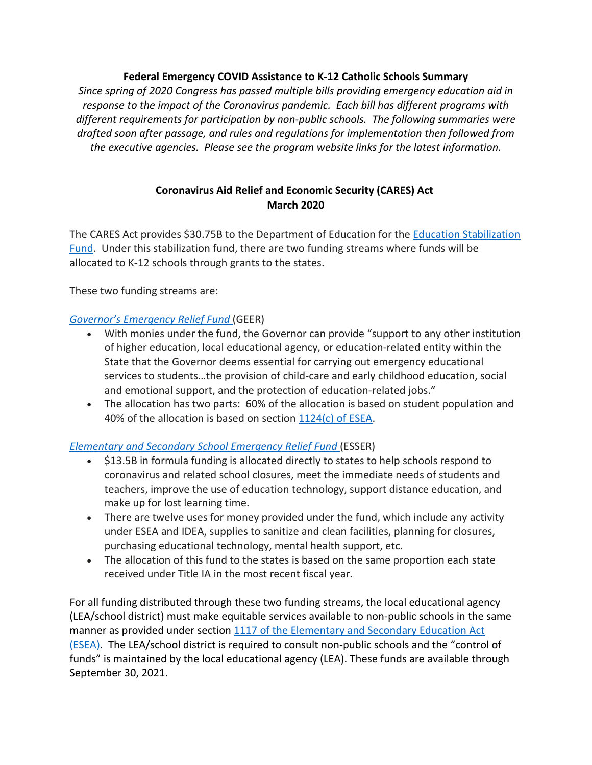## **Federal Emergency COVID Assistance to K-12 Catholic Schools Summary**

*Since spring of 2020 Congress has passed multiple bills providing emergency education aid in response to the impact of the Coronavirus pandemic. Each bill has different programs with different requirements for participation by non-public schools. The following summaries were drafted soon after passage, and rules and regulations for implementation then followed from the executive agencies. Please see the program website links for the latest information.*

# **Coronavirus Aid Relief and Economic Security (CARES) Act March 2020**

The CARES Act provides \$30.75B to the Department of Education for the Education [Stabilization](https://oese.ed.gov/offices/education-stabilization-fund/) [Fund.](https://oese.ed.gov/offices/education-stabilization-fund/) Under this stabilization fund, there are two funding streams where funds will be allocated to K-12 schools through grants to the states.

These two funding streams are:

# *Governor's [Emergency](https://oese.ed.gov/offices/education-stabilization-fund/governors-emergency-education-relief-fund/) Relief Fund* (GEER)

- With monies under the fund, the Governor can provide "support to any other institution of higher education, local educational agency, or education-related entity within the State that the Governor deems essential for carrying out emergency educational services to students…the provision of child-care and early childhood education, social and emotional support, and the protection of education-related jobs."
- The allocation has two parts: 60% of the allocation is based on student population and 40% of the allocation is based on section  $1124(c)$  [of ESEA.](https://www2.ed.gov/documents/essa-act-of-1965.pdf)

# *[Elementary](https://oese.ed.gov/offices/education-stabilization-fund/elementary-secondary-school-emergency-relief-fund/) and Secondary School Emergency Relief Fund* (ESSER)

- \$13.5B in formula funding is allocated directly to states to help schools respond to coronavirus and related school closures, meet the immediate needs of students and teachers, improve the use of education technology, support distance education, and make up for lost learning time.
- There are twelve uses for money provided under the fund, which include any activity under ESEA and IDEA, supplies to sanitize and clean facilities, planning for closures, purchasing educational technology, mental health support, etc.
- The allocation of this fund to the states is based on the same proportion each state received under Title IA in the most recent fiscal year.

For all funding distributed through these two funding streams, the local educational agency (LEA/school district) must make equitable services available to non-public schools in the same manner as provided under section 1117 of the [Elementary](https://www2.ed.gov/documents/essa-act-of-1965.pdf) and Secondary Education Act [\(ESEA\).](https://www2.ed.gov/documents/essa-act-of-1965.pdf) The LEA/school district is required to consult non-public schools and the "control of funds" is maintained by the local educational agency (LEA). These funds are available through September 30, 2021.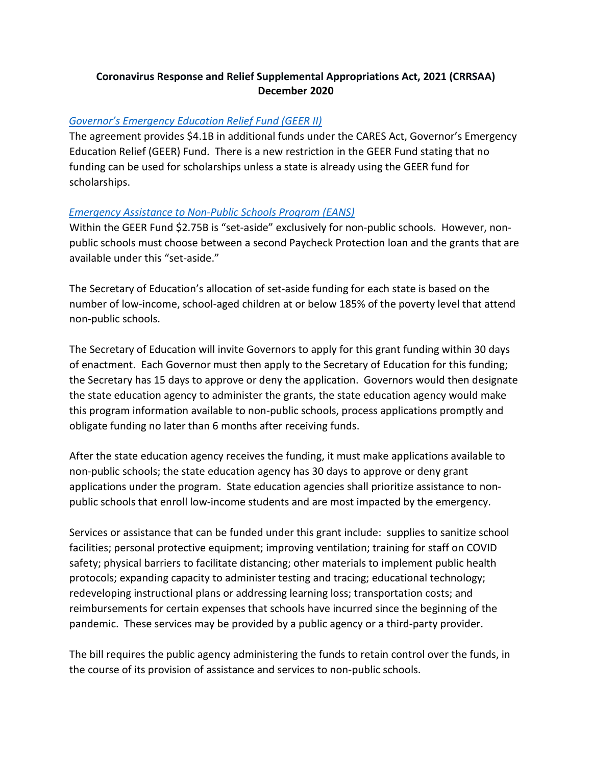# **Coronavirus Response and Relief Supplemental Appropriations Act, 2021 (CRRSAA) December 2020**

## *[Governor's Emergency Education Relief Fund \(GEER II\)](https://oese.ed.gov/offices/education-stabilization-fund/governors-emergency-education-relief-fund/)*

The agreement provides \$4.1B in additional funds under the CARES Act, Governor's Emergency Education Relief (GEER) Fund. There is a new restriction in the GEER Fund stating that no funding can be used for scholarships unless a state is already using the GEER fund for scholarships.

#### *[Emergency Assistance to Non-Public Schools Program \(EANS\)](https://oese.ed.gov/offices/education-stabilization-fund/emergency-assistance-non-public-schools/eans-awards/)*

Within the GEER Fund \$2.75B is "set-aside" exclusively for non-public schools. However, nonpublic schools must choose between a second Paycheck Protection loan and the grants that are available under this "set-aside."

The Secretary of Education's allocation of set-aside funding for each state is based on the number of low-income, school-aged children at or below 185% of the poverty level that attend non-public schools.

The Secretary of Education will invite Governors to apply for this grant funding within 30 days of enactment. Each Governor must then apply to the Secretary of Education for this funding; the Secretary has 15 days to approve or deny the application. Governors would then designate the state education agency to administer the grants, the state education agency would make this program information available to non-public schools, process applications promptly and obligate funding no later than 6 months after receiving funds.

After the state education agency receives the funding, it must make applications available to non-public schools; the state education agency has 30 days to approve or deny grant applications under the program. State education agencies shall prioritize assistance to nonpublic schools that enroll low-income students and are most impacted by the emergency.

Services or assistance that can be funded under this grant include: supplies to sanitize school facilities; personal protective equipment; improving ventilation; training for staff on COVID safety; physical barriers to facilitate distancing; other materials to implement public health protocols; expanding capacity to administer testing and tracing; educational technology; redeveloping instructional plans or addressing learning loss; transportation costs; and reimbursements for certain expenses that schools have incurred since the beginning of the pandemic. These services may be provided by a public agency or a third-party provider.

The bill requires the public agency administering the funds to retain control over the funds, in the course of its provision of assistance and services to non-public schools.